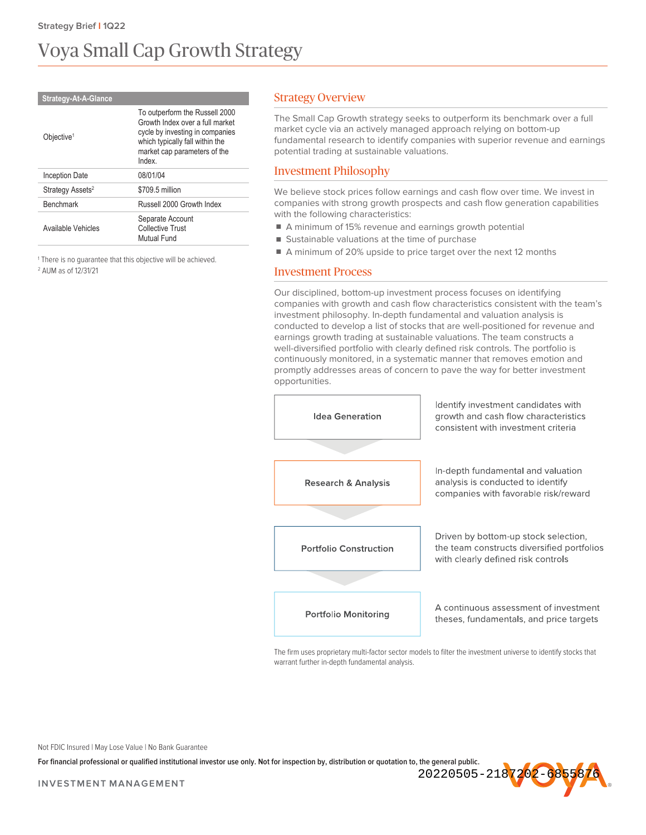# Voya Small Cap Growth Strategy

| <b>Strategy-At-A-Glance</b>  |                                                                                                                                                                                  |
|------------------------------|----------------------------------------------------------------------------------------------------------------------------------------------------------------------------------|
| Objective <sup>1</sup>       | To outperform the Russell 2000<br>Growth Index over a full market<br>cycle by investing in companies<br>which typically fall within the<br>market cap parameters of the<br>Index |
| Inception Date               | 08/01/04                                                                                                                                                                         |
| Strategy Assets <sup>2</sup> | \$709.5 million                                                                                                                                                                  |
| <b>Benchmark</b>             | Russell 2000 Growth Index                                                                                                                                                        |
| Available Vehicles           | Separate Account<br>Collective Trust<br>Mutual Fund                                                                                                                              |

<sup>1</sup> There is no quarantee that this objective will be achieved. <sup>2</sup> AUM as of 12/31/21

# Strategy Overview

The Small Cap Growth strategy seeks to outperform its benchmark over a full market cycle via an actively managed approach relying on bottom-up fundamental research to identify companies with superior revenue and earnings potential trading at sustainable valuations.

# Investment Philosophy

We believe stock prices follow earnings and cash flow over time. We invest in companies with strong growth prospects and cash flow generation capabilities with the following characteristics:

- A minimum of 15% revenue and earnings growth potential
- Sustainable valuations at the time of purchase
- A minimum of 20% upside to price target over the next 12 months

#### Investment Process

Our disciplined, bottom-up investment process focuses on identifying companies with growth and cash flow characteristics consistent with the team's investment philosophy. In-depth fundamental and valuation analysis is conducted to develop a list of stocks that are well-positioned for revenue and earnings growth trading at sustainable valuations. The team constructs a well-diversified portfolio with clearly defined risk controls. The portfolio is continuously monitored, in a systematic manner that removes emotion and promptly addresses areas of concern to pave the way for better investment opportunities.



The firm uses proprietary multi-factor sector models to filter the investment universe to identify stocks that warrant further in-depth fundamental analysis.

Not FDIC Insured | May Lose Value | No Bank Guarantee

**For financial professional or qualified institutional investor use only. Not for inspection by, distribution or quotation to, the general public.**

20220505-218<mark>7202-68558</mark>

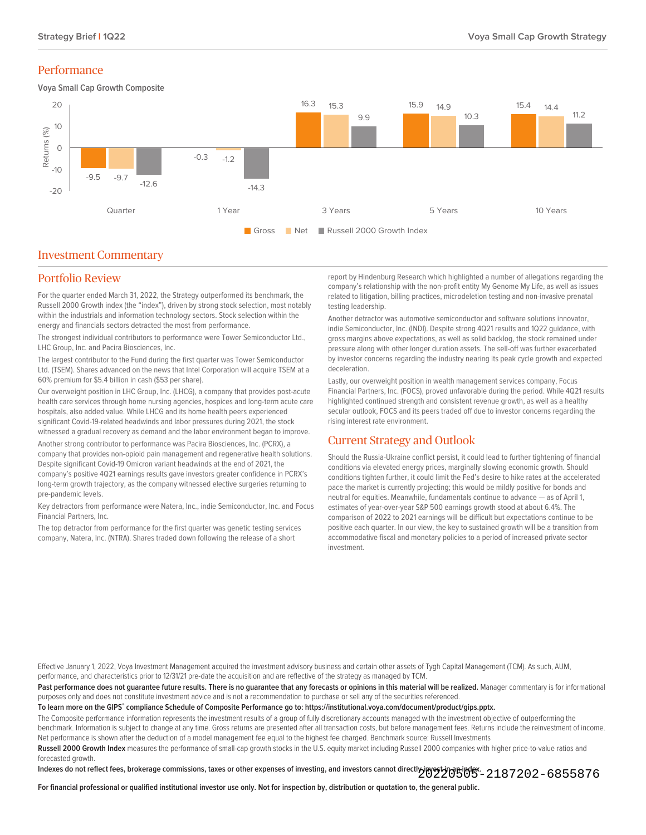#### Performance

**Voya Small Cap Growth Composite**



#### Investment Commentary

# Portfolio Review

For the quarter ended March 31, 2022, the Strategy outperformed its benchmark, the Russell 2000 Growth index (the "index"), driven by strong stock selection, most notably within the industrials and information technology sectors. Stock selection within the energy and financials sectors detracted the most from performance.

The strongest individual contributors to performance were Tower Semiconductor Ltd., LHC Group, Inc. and Pacira Biosciences, Inc.

The largest contributor to the Fund during the first quarter was Tower Semiconductor Ltd. (TSEM). Shares advanced on the news that Intel Corporation will acquire TSEM at a 60% premium for \$5.4 billion in cash (\$53 per share).

Our overweight position in LHC Group, Inc. (LHCG), a company that provides post-acute health care services through home nursing agencies, hospices and long-term acute care hospitals, also added value. While LHCG and its home health peers experienced significant Covid-19-related headwinds and labor pressures during 2021, the stock witnessed a gradual recovery as demand and the labor environment began to improve.

Another strong contributor to performance was Pacira Biosciences, Inc. (PCRX), a company that provides non-opioid pain management and regenerative health solutions. Despite significant Covid-19 Omicron variant headwinds at the end of 2021, the company's positive 4Q21 earnings results gave investors greater confidence in PCRX's long-term growth trajectory, as the company witnessed elective surgeries returning to pre-pandemic levels.

Key detractors from performance were Natera, Inc., indie Semiconductor, Inc. and Focus Financial Partners, Inc.

The top detractor from performance for the first quarter was genetic testing services company, Natera, Inc. (NTRA). Shares traded down following the release of a short

report by Hindenburg Research which highlighted a number of allegations regarding the company's relationship with the non-profit entity My Genome My Life, as well as issues related to litigation, billing practices, microdeletion testing and non-invasive prenatal testing leadership.

Another detractor was automotive semiconductor and software solutions innovator, indie Semiconductor, Inc. (INDI). Despite strong 4Q21 results and 1Q22 guidance, with gross margins above expectations, as well as solid backlog, the stock remained under pressure along with other longer duration assets. The sell-off was further exacerbated by investor concerns regarding the industry nearing its peak cycle growth and expected deceleration.

Lastly, our overweight position in wealth management services company, Focus Financial Partners, Inc. (FOCS), proved unfavorable during the period. While 4Q21 results highlighted continued strength and consistent revenue growth, as well as a healthy secular outlook, FOCS and its peers traded off due to investor concerns regarding the rising interest rate environment.

# Current Strategy and Outlook

Should the Russia-Ukraine conflict persist, it could lead to further tightening of financial conditions via elevated energy prices, marginally slowing economic growth. Should conditions tighten further, it could limit the Fed's desire to hike rates at the accelerated pace the market is currently projecting; this would be mildly positive for bonds and neutral for equities. Meanwhile, fundamentals continue to advance — as of April 1, estimates of year-over-year S&P 500 earnings growth stood at about 6.4%. The comparison of 2022 to 2021 earnings will be difficult but expectations continue to be positive each quarter. In our view, the key to sustained growth will be a transition from accommodative fiscal and monetary policies to a period of increased private sector investment.

Effective January 1, 2022, Voya Investment Management acquired the investment advisory business and certain other assets of Tygh Capital Management (TCM). As such, AUM, performance, and characteristics prior to 12/31/21 pre-date the acquisition and are reflective of the strategy as managed by TCM.

Past performance does not quarantee future results. There is no quarantee that any forecasts or opinions in this material will be realized. Manager commentary is for informational purposes only and does not constitute investment advice and is not a recommendation to purchase or sell any of the securities referenced.

**To learn more on the GIPS® compliance Schedule of Composite Performance go to: https://institutional.voya.com/document/product/gips.pptx.**

The Composite performance information represents the investment results of a group of fully discretionary accounts managed with the investment objective of outperforming the benchmark. Information is subject to change at any time. Gross returns are presented after all transaction costs, but before management fees. Returns include the reinvestment of income. Net performance is shown after the deduction of a model management fee equal to the highest fee charged. Benchmark source: Russell Investments

**Russell 2000 Growth Index** measures the performance of small-cap growth stocks in the U.S. equity market including Russell 2000 companies with higher price-to-value ratios and forecasted growth.

Indexes do not reflect fees, brokerage commissions, taxes or other expenses of investing, and investors cannot directly investing an index.<br>Indexes do not reflect fees, brokerage commissions, taxes or other expenses of inv

**For financial professional or qualified institutional investor use only. Not for inspection by, distribution or quotation to, the general public.**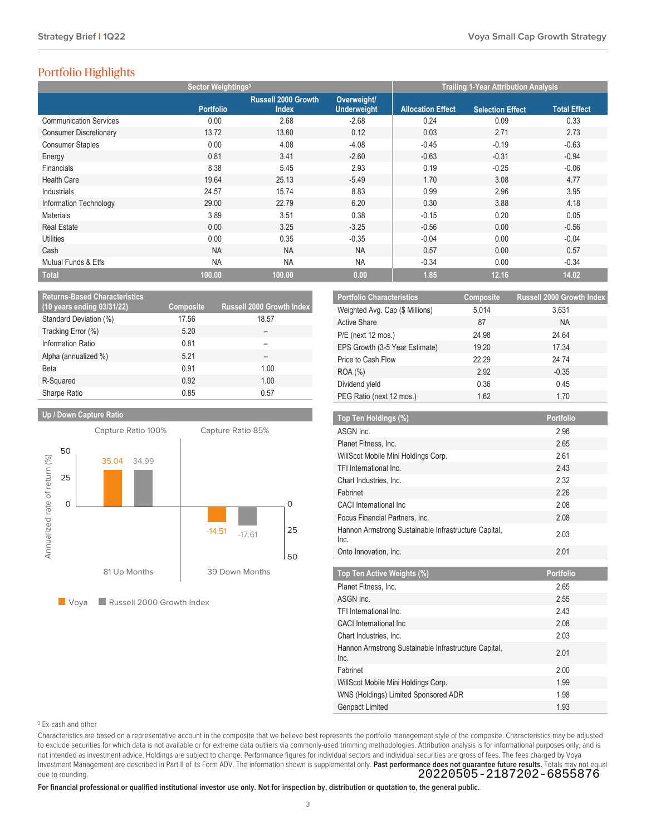# Portfolio Highlights

|                               | Sector Weightings <sup>3</sup> |                                            |                                   |                          | <b>Trailing 1-Year Attribution Analysis</b> |                     |
|-------------------------------|--------------------------------|--------------------------------------------|-----------------------------------|--------------------------|---------------------------------------------|---------------------|
|                               | <b>Portfolio</b>               | <b>Russell 2000 Growth</b><br><b>Index</b> | Overweight/<br><b>Underweight</b> | <b>Allocation Effect</b> | <b>Selection Effect</b>                     | <b>Total Effect</b> |
| <b>Communication Services</b> | 0.00                           | 2.68                                       | $-2.68$                           | 0.24                     | 0.09                                        | 0.33                |
| <b>Consumer Discretionary</b> | 13.72                          | 13.60                                      | 0.12                              | 0.03                     | 2.71                                        | 2.73                |
| <b>Consumer Staples</b>       | 0.00                           | 4.08                                       | $-4.08$                           | $-0.45$                  | $-0.19$                                     | $-0.63$             |
| Energy                        | 0.81                           | 3.41                                       | $-2.60$                           | $-0.63$                  | $-0.31$                                     | $-0.94$             |
| Financials                    | 8.38                           | 5.45                                       | 2.93                              | 0.19                     | $-0.25$                                     | $-0.06$             |
| <b>Health Care</b>            | 19.64                          | 25.13                                      | $-5.49$                           | 1.70                     | 3.08                                        | 4.77                |
| Industrials                   | 24.57                          | 15.74                                      | 8.83                              | 0.99                     | 2.96                                        | 3.95                |
| Information Technology        | 29.00                          | 22.79                                      | 6.20                              | 0.30                     | 3.88                                        | 4.18                |
| <b>Materials</b>              | 3.89                           | 3.51                                       | 0.38                              | $-0.15$                  | 0.20                                        | 0.05                |
| <b>Real Estate</b>            | 0.00                           | 3.25                                       | $-3.25$                           | $-0.56$                  | 0.00                                        | $-0.56$             |
| <b>Utilities</b>              | 0.00                           | 0.35                                       | $-0.35$                           | $-0.04$                  | 0.00                                        | $-0.04$             |
| Cash                          | <b>NA</b>                      | <b>NA</b>                                  | <b>NA</b>                         | 0.57                     | 0.00                                        | 0.57                |
| Mutual Funds & Etfs           | <b>NA</b>                      | <b>NA</b>                                  | <b>NA</b>                         | $-0.34$                  | 0.00                                        | $-0.34$             |
| <b>Total</b>                  | 100.00                         | 100.00                                     | 0.00                              | 1.85                     | 12.16                                       | 14.02               |

| <b>Returns-Based Characteristics</b><br>(10 years ending 03/31/22) | Composite | <b>Russell 2000 Growth Index</b> |
|--------------------------------------------------------------------|-----------|----------------------------------|
| Standard Deviation (%)                                             | 17.56     | 18.57                            |
| Tracking Error (%)                                                 | 5.20      |                                  |
| Information Ratio                                                  | 0.81      |                                  |
| Alpha (annualized %)                                               | 5.21      |                                  |
| Beta                                                               | 0.91      | 1.00                             |
| R-Squared                                                          | 0.92      | 1.00                             |
| Sharpe Ratio                                                       | 0.85      | 0.57                             |

#### **Up / Down Capture Ratio**



Voya **Russell 2000 Growth Index** 

| <b>Portfolio Characteristics</b> | Composite | Russell 2000 Growth Index |
|----------------------------------|-----------|---------------------------|
| Weighted Avg. Cap (\$ Millions)  | 5.014     | 3,631                     |
| <b>Active Share</b>              | 87        | <b>NA</b>                 |
| $P/E$ (next 12 mos.)             | 24.98     | 24.64                     |
| EPS Growth (3-5 Year Estimate)   | 19.20     | 17.34                     |
| Price to Cash Flow               | 22.29     | 24.74                     |
| <b>ROA</b> (%)                   | 2.92      | $-0.35$                   |
| Dividend yield                   | 0.36      | 0.45                      |
| PEG Ratio (next 12 mos.)         | 1.62      | 1.70                      |

| Top Ten Holdings (%)                                         | <b>Portfolio</b> |
|--------------------------------------------------------------|------------------|
| ASGN Inc.                                                    | 2.96             |
| Planet Fitness, Inc.                                         | 2.65             |
| WillScot Mobile Mini Holdings Corp.                          | 2.61             |
| TFI International Inc.                                       | 243              |
| Chart Industries, Inc.                                       | 2.32             |
| Fabrinet                                                     | 2.26             |
| <b>CACI</b> International Inc.                               | 2.08             |
| Focus Financial Partners, Inc.                               | 2.08             |
| Hannon Armstrong Sustainable Infrastructure Capital,<br>Inc. | 2.03             |
| Onto Innovation, Inc.                                        | 2.01             |
|                                                              |                  |
|                                                              |                  |
| Top Ten Active Weights (%)                                   | Portfolio        |
| Planet Fitness, Inc.                                         | 2.65             |
| ASGN Inc.                                                    | 2.55             |
| TFI International Inc.                                       | 243              |
| <b>CACI</b> International Inc                                | 2.08             |
| Chart Industries, Inc.                                       | 2.03             |
| Hannon Armstrong Sustainable Infrastructure Capital,<br>Inc. | 2.01             |
| Fabrinet                                                     | 2.00             |
| WillScot Mobile Mini Holdings Corp.                          | 1.99             |
| WNS (Holdings) Limited Sponsored ADR                         | 1.98             |

#### <sup>3</sup> Ex-cash and other

Characteristics are based on a representative account in the composite that we believe best represents the portfolio management style of the composite. Characteristics may be adjusted to exclude securities for which data is not available or for extreme data outliers via commonly-used trimming methodologies. Attribution analysis is for informational purposes only, and is not intended as investment advice. Holdings are subject to change. Performance figures for individual sectors and individual securities are gross of fees. The fees charged by Voya Investment Management are described in Part II of its Form ADV. The information shown is supplemental only. **Past performance does not guarantee future results.** Totals may not equal due to rounding. 20220505-2187202-6855876

**For financial professional or qualified institutional investor use only. Not for inspection by, distribution or quotation to, the general public.**